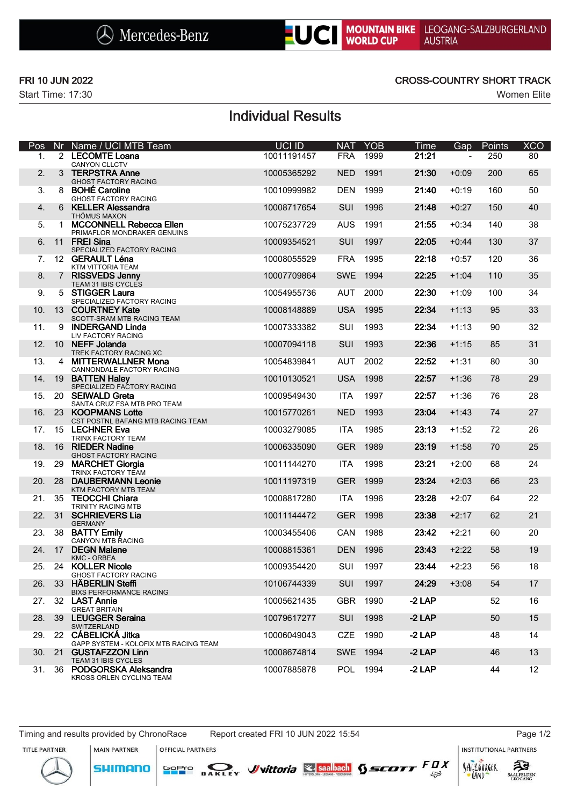

Start Time: 17:30 Women Elite

### FRI 10 JUN 2022 CROSS-COUNTRY SHORT TRACK

# Individual Results

| Pos | Nr | Name / UCI MTB Team                                                         | UCI ID      | <b>NAT</b> | <b>YOB</b> | Time     | Gap     | Points | <b>XCO</b> |
|-----|----|-----------------------------------------------------------------------------|-------------|------------|------------|----------|---------|--------|------------|
| 1.  |    | 2 LECOMTE Loana<br><b>CANYON CLLCTV</b>                                     | 10011191457 | <b>FRA</b> | 1999       | 21:21    |         | 250    | 80         |
| 2.  |    | 3 TERPSTRA Anne<br>GHOST FACTORY RACING                                     | 10005365292 | <b>NED</b> | 1991       | 21:30    | $+0:09$ | 200    | 65         |
| 3.  | 8  | <b>BOHÉ Caroline</b><br><b>GHOST FACTORY RACING</b>                         | 10010999982 | <b>DEN</b> | 1999       | 21:40    | $+0:19$ | 160    | 50         |
| 4.  | 6  | <b>KELLER Alessandra</b><br>THÖMUS MAXON                                    | 10008717654 | SUI        | 1996       | 21:48    | $+0:27$ | 150    | 40         |
| 5.  | 1  | <b>MCCONNELL Rebecca Ellen</b><br>PRIMAFLOR MONDRAKER GENUINS               | 10075237729 | <b>AUS</b> | 1991       | 21:55    | $+0:34$ | 140    | 38         |
| 6.  |    | 11 FREI Sina<br>SPECIALIZED FACTORY RACING                                  | 10009354521 | SUI        | 1997       | 22:05    | $+0:44$ | 130    | 37         |
| 7.  |    | 12 GERAULT Léna<br>KTM VITTORIA TEAM                                        | 10008055529 | <b>FRA</b> | 1995       | 22:18    | $+0:57$ | 120    | 36         |
| 8.  |    | 7 RISSVEDS Jenny<br>TEAM 31 IBIS CYCLES                                     | 10007709864 | <b>SWE</b> | 1994       | 22:25    | $+1:04$ | 110    | 35         |
| 9.  |    | 5 STIGGER Laura<br>SPECIALIZED FACTORY RACING                               | 10054955736 | <b>AUT</b> | 2000       | 22:30    | $+1:09$ | 100    | 34         |
| 10. |    | 13 COURTNEY Kate<br>SCOTT-SRAM MTB RACING TEAM                              | 10008148889 | <b>USA</b> | 1995       | 22:34    | $+1:13$ | 95     | 33         |
| 11. | 9  | <b>INDERGAND Linda</b><br><b>LIV FACTORY RACING</b>                         | 10007333382 | SUI        | 1993       | 22:34    | $+1:13$ | 90     | 32         |
| 12. | 10 | <b>NEFF Jolanda</b>                                                         | 10007094118 | SUI        | 1993       | 22:36    | $+1:15$ | 85     | 31         |
| 13. |    | TREK FACTORY RACING XC<br>4 MITTERWALLNER Mona<br>CANNONDALE FACTORY RACING | 10054839841 | <b>AUT</b> | 2002       | 22:52    | $+1:31$ | 80     | 30         |
| 14. | 19 | <b>BATTEN Haley</b><br>SPECIALIZED FACTORY RACING                           | 10010130521 | <b>USA</b> | 1998       | 22:57    | $+1:36$ | 78     | 29         |
| 15. | 20 | <b>SEIWALD Greta</b><br>SANTA CRUZ FSA MTB PRO TEAM                         | 10009549430 | <b>ITA</b> | 1997       | 22:57    | $+1:36$ | 76     | 28         |
| 16. | 23 | <b>KOOPMANS Lotte</b><br>CST POSTNL BAFANG MTB RACING TEAM                  | 10015770261 | <b>NED</b> | 1993       | 23:04    | $+1:43$ | 74     | 27         |
| 17. |    | 15 LECHNER Eva<br>TRINX FACTORY TEAM                                        | 10003279085 | <b>ITA</b> | 1985       | 23:13    | $+1:52$ | 72     | 26         |
| 18. |    | 16 RIEDER Nadine<br>GHOST FACTORY RACING                                    | 10006335090 | <b>GER</b> | 1989       | 23:19    | $+1:58$ | 70     | 25         |
| 19. | 29 | <b>MARCHET Giorgia</b><br>TRINX FACTORY TEAM                                | 10011144270 | <b>ITA</b> | 1998       | 23:21    | $+2:00$ | 68     | 24         |
| 20. | 28 | <b>DAUBERMANN Leonie</b><br>KTM FACTORY MTB TEAM                            | 10011197319 | <b>GER</b> | 1999       | 23:24    | $+2:03$ | 66     | 23         |
| 21. | 35 | <b>TEOCCHI Chiara</b><br>TRINITY RACING MTB                                 | 10008817280 | <b>ITA</b> | 1996       | 23:28    | $+2:07$ | 64     | 22         |
| 22. | 31 | <b>SCHRIEVERS Lia</b><br><b>GERMANY</b>                                     | 10011144472 | <b>GER</b> | 1998       | 23:38    | $+2:17$ | 62     | 21         |
| 23. | 38 | <b>BATTY Emily</b><br>CANYON MTB RACING                                     | 10003455406 | CAN        | 1988       | 23:42    | $+2:21$ | 60     | 20         |
| 24. | 17 | <b>DEGN Malene</b><br><b>KMC - ORBEA</b>                                    | 10008815361 | <b>DEN</b> | 1996       | 23:43    | $+2:22$ | 58     | 19         |
| 25. |    | 24 KOLLER Nicole<br><b>GHOST FACTORY RACING</b>                             | 10009354420 | <b>SUI</b> | 1997       | 23:44    | $+2:23$ | 56     | 18         |
| 26. | 33 | <b>HÄBERLIN Steffi</b><br><b>BIXS PERFORMANCE RACING</b>                    | 10106744339 | <b>SUI</b> | 1997       | 24:29    | $+3:08$ | 54     | 17         |
| 27. |    | 32 LAST Annie<br><b>GREAT BRITAIN</b>                                       | 10005621435 | <b>GBR</b> | 1990       | $-2$ LAP |         | 52     | 16         |
| 28. |    | 39 LEUGGER Seraina<br>SWITZERLAND                                           | 10079617277 | SUI        | 1998       | $-2$ LAP |         | 50     | 15         |
| 29. |    | 22 CÁBELICKÁ Jitka<br>GAPP SYSTEM - KOLOFIX MTB RACING TEAM                 | 10006049043 | CZE        | 1990       | $-2$ LAP |         | 48     | 14         |
| 30. |    | 21 GUSTAFZZON Linn<br>TEAM 31 IBIS CYCLES                                   | 10008674814 | SWE 1994   |            | $-2$ LAP |         | 46     | 13         |
| 31. |    | 36 PODGORSKA Aleksandra<br>KROSS ORLEN CYCLING TEAM                         | 10007885878 | <b>POL</b> | 1994       | $-2$ LAP |         | 44     | 12         |

**SHIMANO** 

**MAIN PARTNER** OFFICIAL PARTNERS

**INSTITUTIONAL PARTNERS**